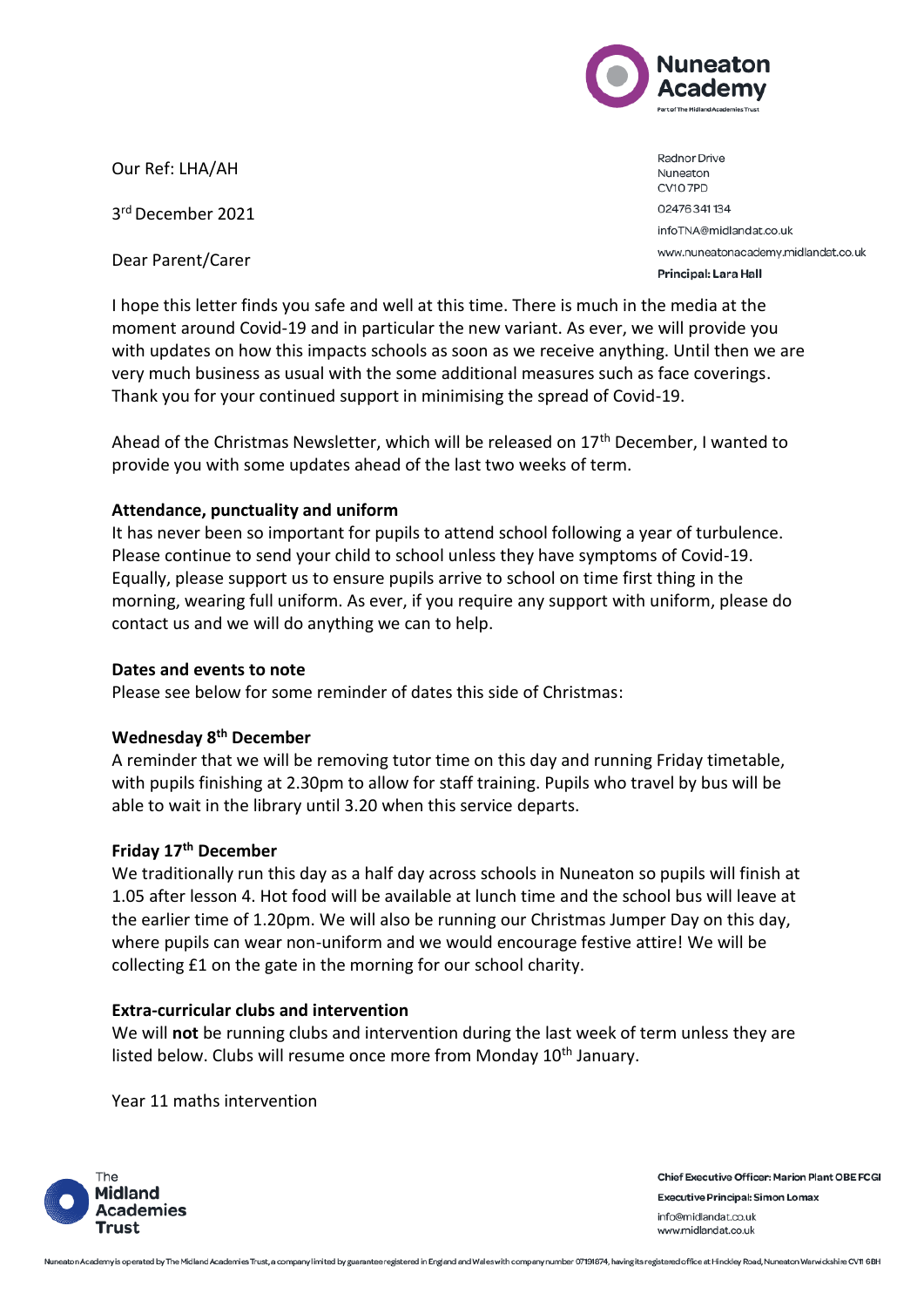

Our Ref: LHA/AH

3 rd December 2021

Dear Parent/Carer

Radnor Drive Nuneaton CV10 7PD 02476341134 infoTNA@midlandat.co.uk www.nuneatonacademy.midlandat.co.uk Principal: Lara Hall

I hope this letter finds you safe and well at this time. There is much in the media at the moment around Covid-19 and in particular the new variant. As ever, we will provide you with updates on how this impacts schools as soon as we receive anything. Until then we are very much business as usual with the some additional measures such as face coverings. Thank you for your continued support in minimising the spread of Covid-19.

Ahead of the Christmas Newsletter, which will be released on  $17<sup>th</sup>$  December, I wanted to provide you with some updates ahead of the last two weeks of term.

# **Attendance, punctuality and uniform**

It has never been so important for pupils to attend school following a year of turbulence. Please continue to send your child to school unless they have symptoms of Covid-19. Equally, please support us to ensure pupils arrive to school on time first thing in the morning, wearing full uniform. As ever, if you require any support with uniform, please do contact us and we will do anything we can to help.

## **Dates and events to note**

Please see below for some reminder of dates this side of Christmas:

## **Wednesday 8th December**

A reminder that we will be removing tutor time on this day and running Friday timetable, with pupils finishing at 2.30pm to allow for staff training. Pupils who travel by bus will be able to wait in the library until 3.20 when this service departs.

## **Friday 17th December**

We traditionally run this day as a half day across schools in Nuneaton so pupils will finish at 1.05 after lesson 4. Hot food will be available at lunch time and the school bus will leave at the earlier time of 1.20pm. We will also be running our Christmas Jumper Day on this day, where pupils can wear non-uniform and we would encourage festive attire! We will be collecting £1 on the gate in the morning for our school charity.

## **Extra-curricular clubs and intervention**

We will **not** be running clubs and intervention during the last week of term unless they are listed below. Clubs will resume once more from Monday 10<sup>th</sup> January.

Year 11 maths intervention



**Chief Executive Officer: Marion Plant OBE FCGI Executive Principal: Simon Lomax** info@midlandat.co.uk www.midlandat.co.uk